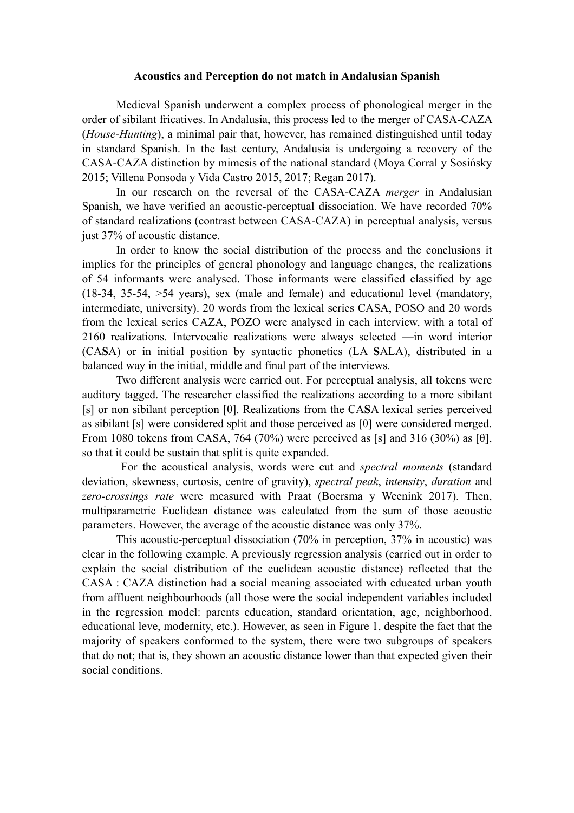## **Acoustics and Perception do not match in Andalusian Spanish**

Medieval Spanish underwent a complex process of phonological merger in the order of sibilant fricatives. In Andalusia, this process led to the merger of CASA-CAZA (*House*-*Hunting*), a minimal pair that, however, has remained distinguished until today in standard Spanish. In the last century, Andalusia is undergoing a recovery of the CASA-CAZA distinction by mimesis of the national standard (Moya Corral y Sosińsky 2015; Villena Ponsoda y Vida Castro 2015, 2017; Regan 2017).

In our research on the reversal of the CASA-CAZA *merger* in Andalusian Spanish, we have verified an acoustic-perceptual dissociation. We have recorded 70% of standard realizations (contrast between CASA-CAZA) in perceptual analysis, versus just 37% of acoustic distance.

In order to know the social distribution of the process and the conclusions it implies for the principles of general phonology and language changes, the realizations of 54 informants were analysed. Those informants were classified classified by age (18-34, 35-54, >54 years), sex (male and female) and educational level (mandatory, intermediate, university). 20 words from the lexical series CASA, POSO and 20 words from the lexical series CAZA, POZO were analysed in each interview, with a total of 2160 realizations. Intervocalic realizations were always selected —in word interior (CA**S**A) or in initial position by syntactic phonetics (LA **S**ALA), distributed in a balanced way in the initial, middle and final part of the interviews.

Two different analysis were carried out. For perceptual analysis, all tokens were auditory tagged. The researcher classified the realizations according to a more sibilant [s] or non sibilant perception [θ]. Realizations from the CA**S**A lexical series perceived as sibilant [s] were considered split and those perceived as [θ] were considered merged. From 1080 tokens from CASA, 764 (70%) were perceived as [s] and 316 (30%) as [ $\theta$ ], so that it could be sustain that split is quite expanded.

 For the acoustical analysis, words were cut and *spectral moments* (standard deviation, skewness, curtosis, centre of gravity), *spectral peak*, *intensity*, *duration* and *zero-crossings rate* were measured with Praat (Boersma y Weenink 2017). Then, multiparametric Euclidean distance was calculated from the sum of those acoustic parameters. However, the average of the acoustic distance was only 37%.

This acoustic-perceptual dissociation (70% in perception, 37% in acoustic) was clear in the following example. A previously regression analysis (carried out in order to explain the social distribution of the euclidean acoustic distance) reflected that the CASA : CAZA distinction had a social meaning associated with educated urban youth from affluent neighbourhoods (all those were the social independent variables included in the regression model: parents education, standard orientation, age, neighborhood, educational leve, modernity, etc.). However, as seen in Figure 1, despite the fact that the majority of speakers conformed to the system, there were two subgroups of speakers that do not; that is, they shown an acoustic distance lower than that expected given their social conditions.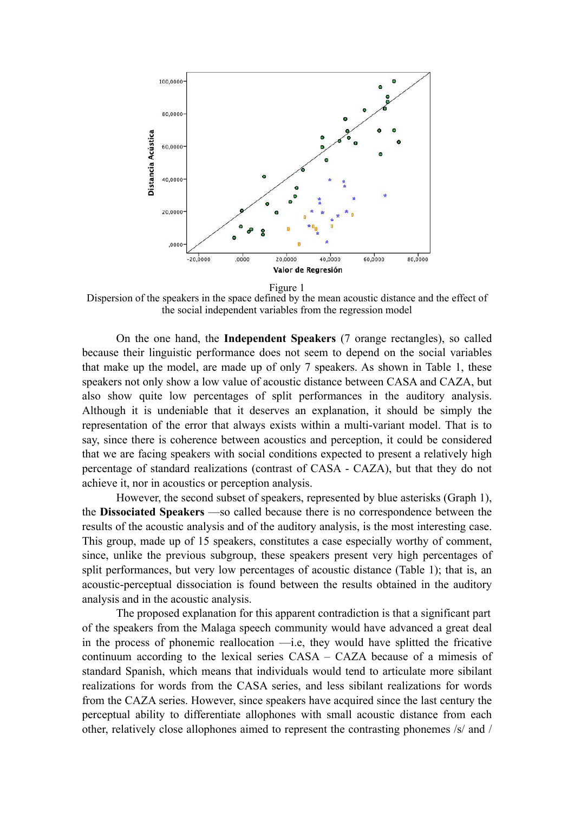

Figure 1

Dispersion of the speakers in the space defined by the mean acoustic distance and the effect of the social independent variables from the regression model

On the one hand, the **Independent Speakers** (7 orange rectangles), so called because their linguistic performance does not seem to depend on the social variables that make up the model, are made up of only 7 speakers. As shown in Table 1, these speakers not only show a low value of acoustic distance between CASA and CAZA, but also show quite low percentages of split performances in the auditory analysis. Although it is undeniable that it deserves an explanation, it should be simply the representation of the error that always exists within a multi-variant model. That is to say, since there is coherence between acoustics and perception, it could be considered that we are facing speakers with social conditions expected to present a relatively high percentage of standard realizations (contrast of CASA - CAZA), but that they do not achieve it, nor in acoustics or perception analysis.

However, the second subset of speakers, represented by blue asterisks (Graph 1), the **Dissociated Speakers** —so called because there is no correspondence between the results of the acoustic analysis and of the auditory analysis, is the most interesting case. This group, made up of 15 speakers, constitutes a case especially worthy of comment, since, unlike the previous subgroup, these speakers present very high percentages of split performances, but very low percentages of acoustic distance (Table 1); that is, an acoustic-perceptual dissociation is found between the results obtained in the auditory analysis and in the acoustic analysis.

The proposed explanation for this apparent contradiction is that a significant part of the speakers from the Malaga speech community would have advanced a great deal in the process of phonemic reallocation —i.e, they would have splitted the fricative continuum according to the lexical series CASA – CAZA because of a mimesis of standard Spanish, which means that individuals would tend to articulate more sibilant realizations for words from the CASA series, and less sibilant realizations for words from the CAZA series. However, since speakers have acquired since the last century the perceptual ability to differentiate allophones with small acoustic distance from each other, relatively close allophones aimed to represent the contrasting phonemes /s/ and /